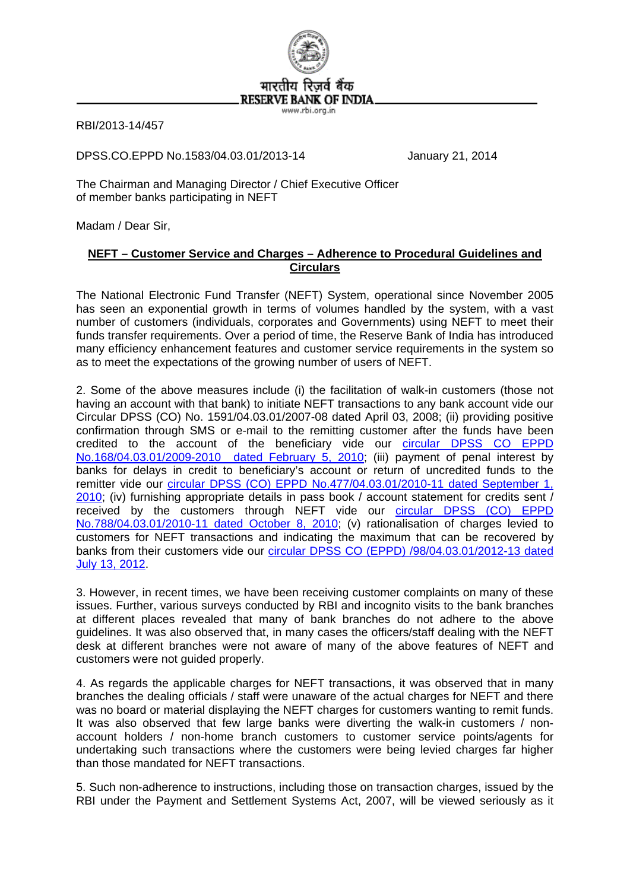

RBI/2013-14/457

DPSS.CO.EPPD No.1583/04.03.01/2013-14 January 21, 2014

The Chairman and Managing Director / Chief Executive Officer of member banks participating in NEFT

Madam / Dear Sir,

## **NEFT – Customer Service and Charges – Adherence to Procedural Guidelines and Circulars**

The National Electronic Fund Transfer (NEFT) System, operational since November 2005 has seen an exponential growth in terms of volumes handled by the system, with a vast number of customers (individuals, corporates and Governments) using NEFT to meet their funds transfer requirements. Over a period of time, the Reserve Bank of India has introduced many efficiency enhancement features and customer service requirements in the system so as to meet the expectations of the growing number of users of NEFT.

2. Some of the above measures include (i) the facilitation of walk-in customers (those not having an account with that bank) to initiate NEFT transactions to any bank account vide our Circular DPSS (CO) No. 1591/04.03.01/2007-08 dated April 03, 2008; (ii) providing positive confirmation through SMS or e-mail to the remitting customer after the funds have been credited to the account of the beneficiary vide our circular DPSS CO EPPD [No.168/04.03.01/2009-2010 dated February 5, 2010;](http://www.rbi.org.in/scripts/NotificationUser.aspx?Id=5489&Mode=0) (iii) payment of penal interest by banks for delays in credit to beneficiary's account or return of uncredited funds to the remitter vide our [circular DPSS \(CO\) EPPD No.477/04.03.01/2010-11 dated September 1,](http://www.rbi.org.in/scripts/NotificationUser.aspx?Id=5976&Mode=0)  [2010](http://www.rbi.org.in/scripts/NotificationUser.aspx?Id=5976&Mode=0); (iv) furnishing appropriate details in pass book / account statement for credits sent / received by the customers through NEFT vide our circular DPSS (CO) EPPD [No.788/04.03.01/2010-11 dated October 8, 2010;](http://www.rbi.org.in/scripts/NotificationUser.aspx?Id=6034&Mode=0) (v) rationalisation of charges levied to customers for NEFT transactions and indicating the maximum that can be recovered by banks from their customers vide our [circular DPSS CO \(EPPD\) /98/04.03.01/2012-13 dated](http://www.rbi.org.in/scripts/NotificationUser.aspx?Id=7448&Mode=0)  [July 13, 2012](http://www.rbi.org.in/scripts/NotificationUser.aspx?Id=7448&Mode=0).

3. However, in recent times, we have been receiving customer complaints on many of these issues. Further, various surveys conducted by RBI and incognito visits to the bank branches at different places revealed that many of bank branches do not adhere to the above guidelines. It was also observed that, in many cases the officers/staff dealing with the NEFT desk at different branches were not aware of many of the above features of NEFT and customers were not guided properly.

4. As regards the applicable charges for NEFT transactions, it was observed that in many branches the dealing officials / staff were unaware of the actual charges for NEFT and there was no board or material displaying the NEFT charges for customers wanting to remit funds. It was also observed that few large banks were diverting the walk-in customers / nonaccount holders / non-home branch customers to customer service points/agents for undertaking such transactions where the customers were being levied charges far higher than those mandated for NEFT transactions.

5. Such non-adherence to instructions, including those on transaction charges, issued by the RBI under the Payment and Settlement Systems Act, 2007, will be viewed seriously as it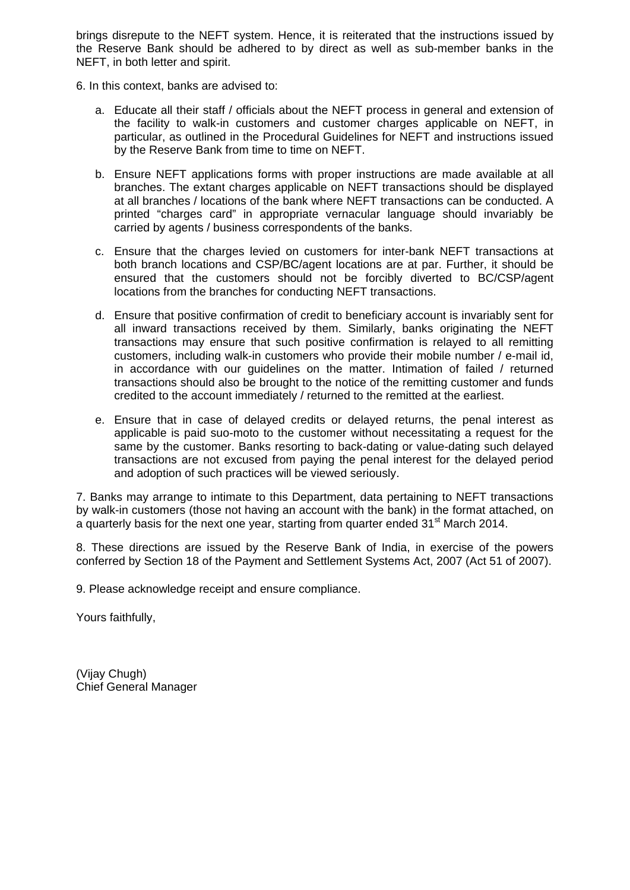brings disrepute to the NEFT system. Hence, it is reiterated that the instructions issued by the Reserve Bank should be adhered to by direct as well as sub-member banks in the NEFT, in both letter and spirit.

- 6. In this context, banks are advised to:
	- a. Educate all their staff / officials about the NEFT process in general and extension of the facility to walk-in customers and customer charges applicable on NEFT, in particular, as outlined in the Procedural Guidelines for NEFT and instructions issued by the Reserve Bank from time to time on NEFT.
	- b. Ensure NEFT applications forms with proper instructions are made available at all branches. The extant charges applicable on NEFT transactions should be displayed at all branches / locations of the bank where NEFT transactions can be conducted. A printed "charges card" in appropriate vernacular language should invariably be carried by agents / business correspondents of the banks.
	- c. Ensure that the charges levied on customers for inter-bank NEFT transactions at both branch locations and CSP/BC/agent locations are at par. Further, it should be ensured that the customers should not be forcibly diverted to BC/CSP/agent locations from the branches for conducting NEFT transactions.
	- d. Ensure that positive confirmation of credit to beneficiary account is invariably sent for all inward transactions received by them. Similarly, banks originating the NEFT transactions may ensure that such positive confirmation is relayed to all remitting customers, including walk-in customers who provide their mobile number / e-mail id, in accordance with our guidelines on the matter. Intimation of failed / returned transactions should also be brought to the notice of the remitting customer and funds credited to the account immediately / returned to the remitted at the earliest.
	- e. Ensure that in case of delayed credits or delayed returns, the penal interest as applicable is paid suo-moto to the customer without necessitating a request for the same by the customer. Banks resorting to back-dating or value-dating such delayed transactions are not excused from paying the penal interest for the delayed period and adoption of such practices will be viewed seriously.

7. Banks may arrange to intimate to this Department, data pertaining to NEFT transactions by walk-in customers (those not having an account with the bank) in the format attached, on a quarterly basis for the next one year, starting from quarter ended  $31<sup>st</sup>$  March 2014.

8. These directions are issued by the Reserve Bank of India, in exercise of the powers conferred by Section 18 of the Payment and Settlement Systems Act, 2007 (Act 51 of 2007).

9. Please acknowledge receipt and ensure compliance.

Yours faithfully,

(Vijay Chugh) Chief General Manager